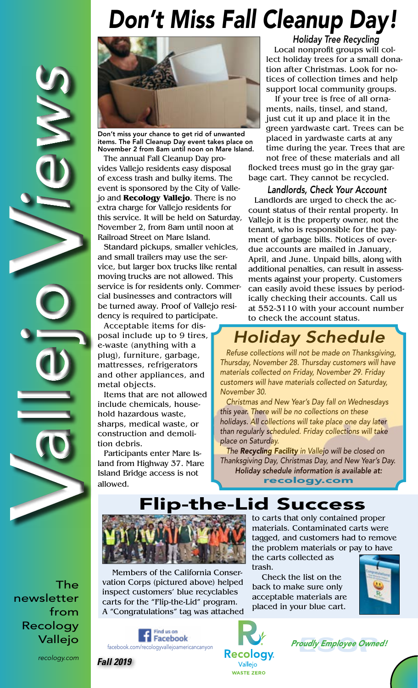## *Don't Miss Fall Cleanup Day!*



Don't miss your chance to get rid of unwanted items. The Fall Cleanup Day event takes place on November 2 from 8am until noon on Mare Island.

The annual Fall Cleanup Day provides Vallejo residents easy disposal of excess trash and bulky items. The event is sponsored by the City of Vallejo and **Recology Vallejo**. There is no extra charge for Vallejo residents for this service. It will be held on Saturday, November 2, from 8am until noon at Railroad Street on Mare Island.

Standard pickups, smaller vehicles, and small trailers may use the service, but larger box trucks like rental moving trucks are not allowed. This service is for residents only. Commercial businesses and contractors will be turned away. Proof of Vallejo residency is required to participate.

Acceptable items for disposal include up to 9 tires, e-waste (anything with a plug), furniture, garbage, mattresses, refrigerators and other appliances, and metal objects.

Items that are not allowed include chemicals, household hazardous waste, sharps, medical waste, or construction and demolition debris.

Participants enter Mare Island from Highway 37. Mare Island Bridge access is not allowed.

*Holiday Tree Recycling* Local nonprofit groups will collect holiday trees for a small donation after Christmas. Look for notices of collection times and help support local community groups.

 If your tree is free of all ornaments, nails, tinsel, and stand, just cut it up and place it in the green yardwaste cart. Trees can be placed in yardwaste carts at any time during the year. Trees that are not free of these materials and all

flocked trees must go in the gray garbage cart. They cannot be recycled.

*Landlords, Check Your Account* Landlords are urged to check the account status of their rental property. In Vallejo it is the property owner, not the tenant, who is responsible for the payment of garbage bills. Notices of overdue accounts are mailed in January, April, and June. Unpaid bills, along with additional penalties, can result in assessments against your property. Customers can easily avoid these issues by periodically checking their accounts. Call us at 552-3110 with your account number to check the account status.

## *Holiday Schedule*

*Refuse collections will not be made on Thanksgiving, Thursday, November 28. Thursday customers will have materials collected on Friday, November 29. Friday customers will have materials collected on Saturday, November 30.* 

*Christmas and New Year's Day fall on Wednesdays this year. There will be no collections on these holidays. All collections will take place one day later than regularly scheduled. Friday collections will take place on Saturday.*

*The Recycling Facility in Vallejo will be closed on Thanksgiving Day, Christmas Day, and New Year's Day. Holiday schedule information is available at:*

recology.com

Flip-the-Lid Success



the carts collected as trash.

Check the list on the back to make sure only acceptable materials are placed in your blue cart.



Members of the California Conservation Corps (pictured above) helped inspect customers' blue recyclables carts for the "Flip-the-Lid" program.

Find us on

A "Congratulations" tag was attached







*recology.com*

Vallejo

The

from

newsletter

V

V

allejo *iews*

Recology

*Fall 2019*